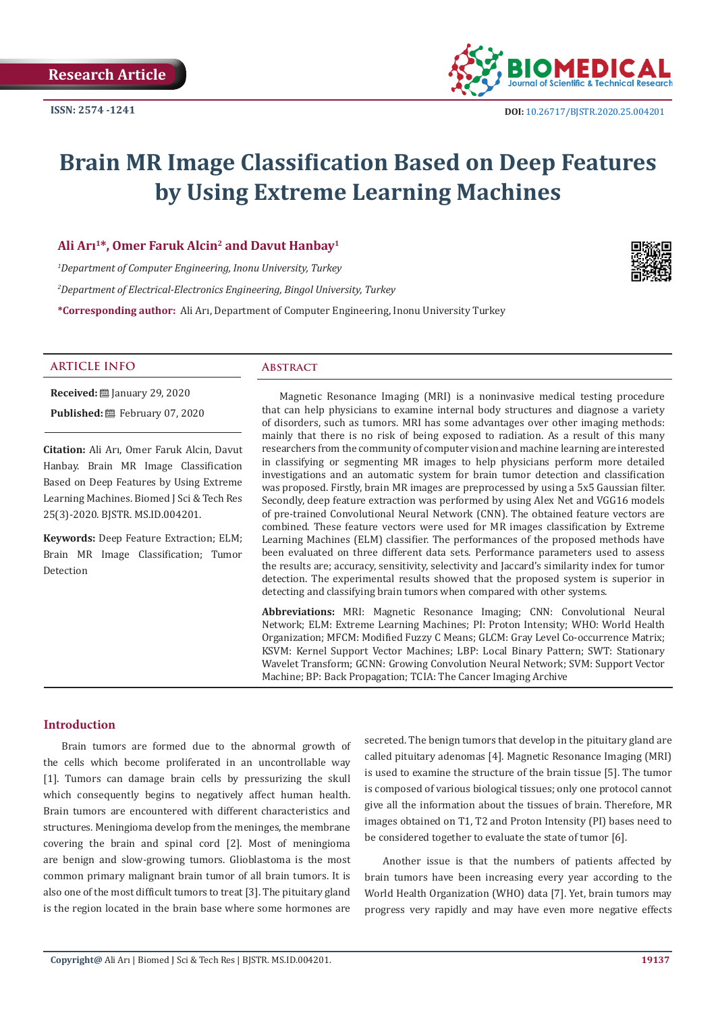

# **Brain MR Image Classification Based on Deep Features by Using Extreme Learning Machines**

# **Ali Arı<sup>1</sup>\*, Omer Faruk Alcin<sup>2</sup> and Davut Hanbay<sup>1</sup>**

*1 Department of Computer Engineering, Inonu University, Turkey*

*2 Department of Electrical-Electronics Engineering, Bingol University, Turkey*

**\*Corresponding author:** Ali Arı, Department of Computer Engineering, Inonu University Turkey



#### **ARTICLE INFO Abstract**

**Received:** January 29, 2020 **Published:** February 07, 2020

**Citation:** Ali Arı, Omer Faruk Alcin, Davut Hanbay. Brain MR Image Classification Based on Deep Features by Using Extreme Learning Machines. Biomed J Sci & Tech Res 25(3)-2020. BJSTR. MS.ID.004201.

**Keywords:** Deep Feature Extraction; ELM; Brain MR Image Classification; Tumor Detection

Magnetic Resonance Imaging (MRI) is a noninvasive medical testing procedure that can help physicians to examine internal body structures and diagnose a variety of disorders, such as tumors. MRI has some advantages over other imaging methods: mainly that there is no risk of being exposed to radiation. As a result of this many researchers from the community of computer vision and machine learning are interested in classifying or segmenting MR images to help physicians perform more detailed investigations and an automatic system for brain tumor detection and classification was proposed. Firstly, brain MR images are preprocessed by using a 5x5 Gaussian filter. Secondly, deep feature extraction was performed by using Alex Net and VGG16 models of pre-trained Convolutional Neural Network (CNN). The obtained feature vectors are combined. These feature vectors were used for MR images classification by Extreme Learning Machines (ELM) classifier. The performances of the proposed methods have been evaluated on three different data sets. Performance parameters used to assess the results are; accuracy, sensitivity, selectivity and Jaccard's similarity index for tumor detection. The experimental results showed that the proposed system is superior in detecting and classifying brain tumors when compared with other systems.

**Abbreviations:** MRI: Magnetic Resonance Imaging; CNN: Convolutional Neural Network; ELM: Extreme Learning Machines; PI: Proton Intensity; WHO: World Health Organization; MFCM: Modified Fuzzy C Means; GLCM: Gray Level Co-occurrence Matrix; KSVM: Kernel Support Vector Machines; LBP: Local Binary Pattern; SWT: Stationary Wavelet Transform; GCNN: Growing Convolution Neural Network; SVM: Support Vector Machine; BP: Back Propagation; TCIA: The Cancer Imaging Archive

#### **Introduction**

Brain tumors are formed due to the abnormal growth of the cells which become proliferated in an uncontrollable way [1]. Tumors can damage brain cells by pressurizing the skull which consequently begins to negatively affect human health. Brain tumors are encountered with different characteristics and structures. Meningioma develop from the meninges, the membrane covering the brain and spinal cord [2]. Most of meningioma are benign and slow-growing tumors. Glioblastoma is the most common primary malignant brain tumor of all brain tumors. It is also one of the most difficult tumors to treat [3]. The pituitary gland is the region located in the brain base where some hormones are

secreted. The benign tumors that develop in the pituitary gland are called pituitary adenomas [4]. Magnetic Resonance Imaging (MRI) is used to examine the structure of the brain tissue [5]. The tumor is composed of various biological tissues; only one protocol cannot give all the information about the tissues of brain. Therefore, MR images obtained on T1, T2 and Proton Intensity (PI) bases need to be considered together to evaluate the state of tumor [6].

Another issue is that the numbers of patients affected by brain tumors have been increasing every year according to the World Health Organization (WHO) data [7]. Yet, brain tumors may progress very rapidly and may have even more negative effects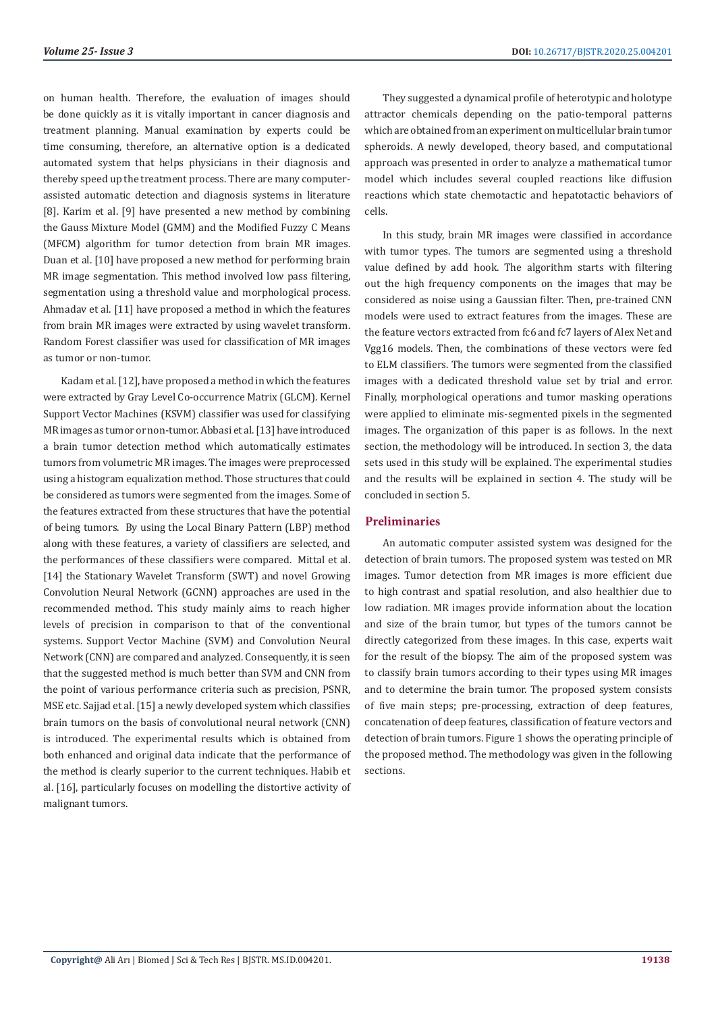on human health. Therefore, the evaluation of images should be done quickly as it is vitally important in cancer diagnosis and treatment planning. Manual examination by experts could be time consuming, therefore, an alternative option is a dedicated automated system that helps physicians in their diagnosis and thereby speed up the treatment process. There are many computerassisted automatic detection and diagnosis systems in literature [8]. Karim et al. [9] have presented a new method by combining the Gauss Mixture Model (GMM) and the Modified Fuzzy C Means (MFCM) algorithm for tumor detection from brain MR images. Duan et al. [10] have proposed a new method for performing brain MR image segmentation. This method involved low pass filtering, segmentation using a threshold value and morphological process. Ahmadav et al. [11] have proposed a method in which the features from brain MR images were extracted by using wavelet transform. Random Forest classifier was used for classification of MR images as tumor or non-tumor.

Kadam et al. [12], have proposed a method in which the features were extracted by Gray Level Co-occurrence Matrix (GLCM). Kernel Support Vector Machines (KSVM) classifier was used for classifying MR images as tumor or non-tumor. Abbasi et al. [13] have introduced a brain tumor detection method which automatically estimates tumors from volumetric MR images. The images were preprocessed using a histogram equalization method. Those structures that could be considered as tumors were segmented from the images. Some of the features extracted from these structures that have the potential of being tumors. By using the Local Binary Pattern (LBP) method along with these features, a variety of classifiers are selected, and the performances of these classifiers were compared. Mittal et al. [14] the Stationary Wavelet Transform (SWT) and novel Growing Convolution Neural Network (GCNN) approaches are used in the recommended method. This study mainly aims to reach higher levels of precision in comparison to that of the conventional systems. Support Vector Machine (SVM) and Convolution Neural Network (CNN) are compared and analyzed. Consequently, it is seen that the suggested method is much better than SVM and CNN from the point of various performance criteria such as precision, PSNR, MSE etc. Sajjad et al. [15] a newly developed system which classifies brain tumors on the basis of convolutional neural network (CNN) is introduced. The experimental results which is obtained from both enhanced and original data indicate that the performance of the method is clearly superior to the current techniques. Habib et al. [16], particularly focuses on modelling the distortive activity of malignant tumors.

They suggested a dynamical profile of heterotypic and holotype attractor chemicals depending on the patio-temporal patterns which are obtained from an experiment on multicellular brain tumor spheroids. A newly developed, theory based, and computational approach was presented in order to analyze a mathematical tumor model which includes several coupled reactions like diffusion reactions which state chemotactic and hepatotactic behaviors of cells.

In this study, brain MR images were classified in accordance with tumor types. The tumors are segmented using a threshold value defined by add hook. The algorithm starts with filtering out the high frequency components on the images that may be considered as noise using a Gaussian filter. Then, pre-trained CNN models were used to extract features from the images. These are the feature vectors extracted from fc6 and fc7 layers of Alex Net and Vgg16 models. Then, the combinations of these vectors were fed to ELM classifiers. The tumors were segmented from the classified images with a dedicated threshold value set by trial and error. Finally, morphological operations and tumor masking operations were applied to eliminate mis-segmented pixels in the segmented images. The organization of this paper is as follows. In the next section, the methodology will be introduced. In section 3, the data sets used in this study will be explained. The experimental studies and the results will be explained in section 4. The study will be concluded in section 5.

# **Preliminaries**

An automatic computer assisted system was designed for the detection of brain tumors. The proposed system was tested on MR images. Tumor detection from MR images is more efficient due to high contrast and spatial resolution, and also healthier due to low radiation. MR images provide information about the location and size of the brain tumor, but types of the tumors cannot be directly categorized from these images. In this case, experts wait for the result of the biopsy. The aim of the proposed system was to classify brain tumors according to their types using MR images and to determine the brain tumor. The proposed system consists of five main steps; pre-processing, extraction of deep features, concatenation of deep features, classification of feature vectors and detection of brain tumors. Figure 1 shows the operating principle of the proposed method. The methodology was given in the following sections.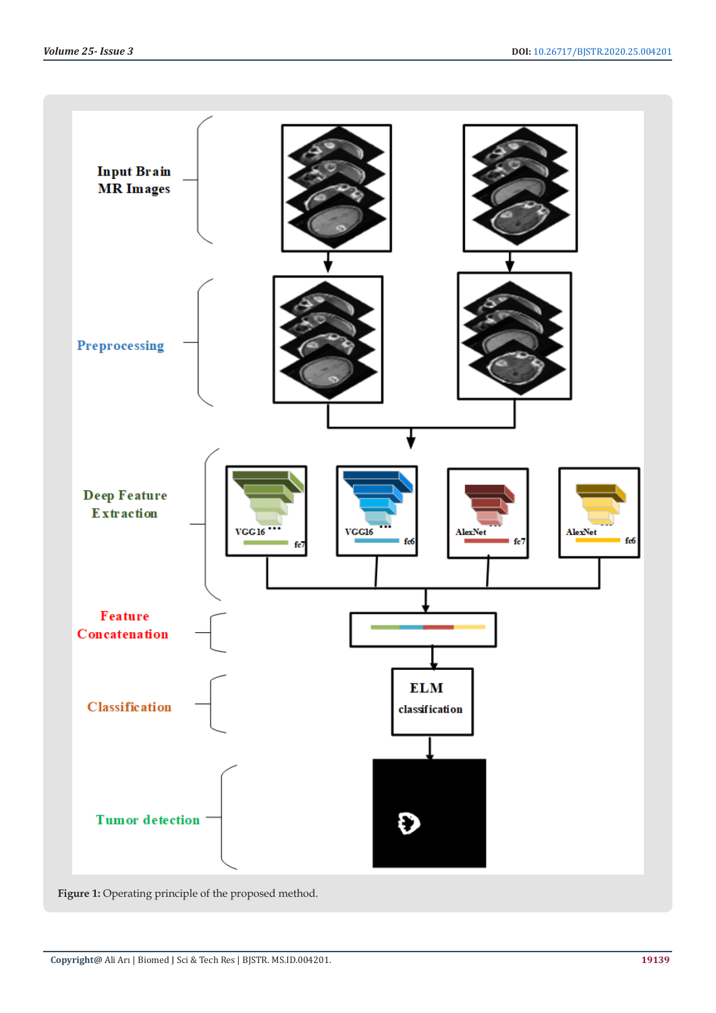

Figure 1: Operating principle of the proposed method.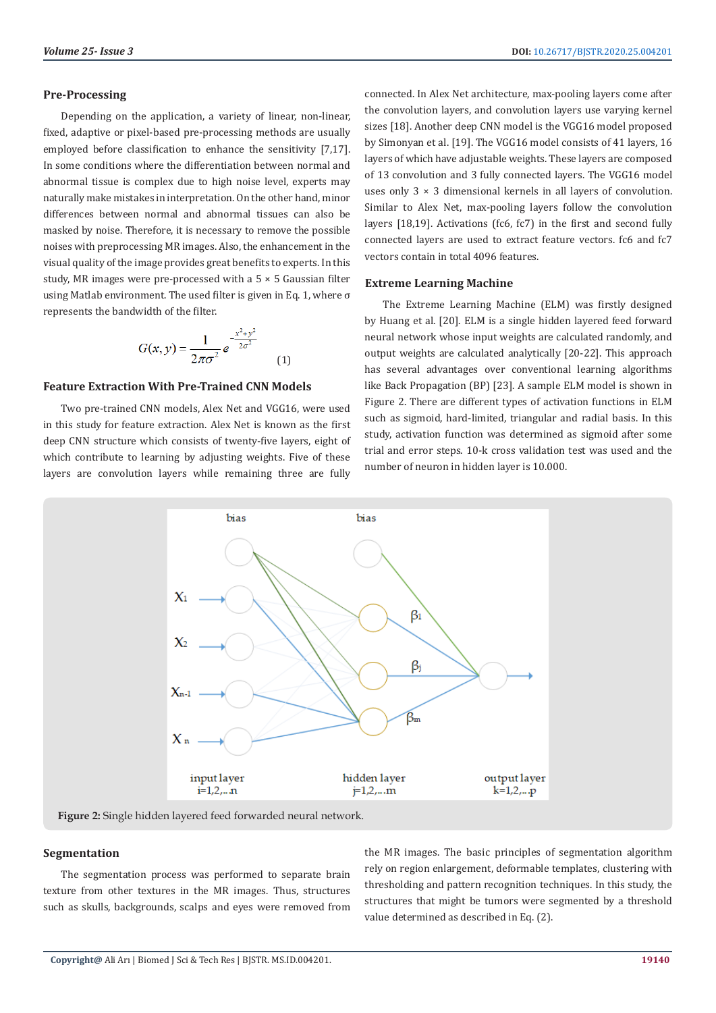#### **Pre-Processing**

Depending on the application, a variety of linear, non-linear, fixed, adaptive or pixel-based pre-processing methods are usually employed before classification to enhance the sensitivity [7,17]. In some conditions where the differentiation between normal and abnormal tissue is complex due to high noise level, experts may naturally make mistakes in interpretation. On the other hand, minor differences between normal and abnormal tissues can also be masked by noise. Therefore, it is necessary to remove the possible noises with preprocessing MR images. Also, the enhancement in the visual quality of the image provides great benefits to experts. In this study, MR images were pre-processed with a 5 × 5 Gaussian filter using Matlab environment. The used filter is given in Eq. 1, where σ represents the bandwidth of the filter.

$$
G(x, y) = \frac{1}{2\pi\sigma^2} e^{-\frac{x^2 + y^2}{2\sigma^2}}
$$
 (1)

# **Feature Extraction With Pre-Trained CNN Models**

Two pre-trained CNN models, Alex Net and VGG16, were used in this study for feature extraction. Alex Net is known as the first deep CNN structure which consists of twenty-five layers, eight of which contribute to learning by adjusting weights. Five of these layers are convolution layers while remaining three are fully

connected. In Alex Net architecture, max-pooling layers come after the convolution layers, and convolution layers use varying kernel sizes [18]. Another deep CNN model is the VGG16 model proposed by Simonyan et al. [19]. The VGG16 model consists of 41 layers, 16 layers of which have adjustable weights. These layers are composed of 13 convolution and 3 fully connected layers. The VGG16 model uses only 3 × 3 dimensional kernels in all layers of convolution. Similar to Alex Net, max-pooling layers follow the convolution layers [18,19]. Activations (fc6, fc7) in the first and second fully connected layers are used to extract feature vectors. fc6 and fc7 vectors contain in total 4096 features.

#### **Extreme Learning Machine**

The Extreme Learning Machine (ELM) was firstly designed by Huang et al. [20]. ELM is a single hidden layered feed forward neural network whose input weights are calculated randomly, and output weights are calculated analytically [20-22]. This approach has several advantages over conventional learning algorithms like Back Propagation (BP) [23]. A sample ELM model is shown in Figure 2. There are different types of activation functions in ELM such as sigmoid, hard-limited, triangular and radial basis. In this study, activation function was determined as sigmoid after some trial and error steps. 10-k cross validation test was used and the number of neuron in hidden layer is 10.000.



**Figure 2:** Single hidden layered feed forwarded neural network.

# **Segmentation**

The segmentation process was performed to separate brain texture from other textures in the MR images. Thus, structures such as skulls, backgrounds, scalps and eyes were removed from the MR images. The basic principles of segmentation algorithm rely on region enlargement, deformable templates, clustering with thresholding and pattern recognition techniques. In this study, the structures that might be tumors were segmented by a threshold value determined as described in Eq. (2).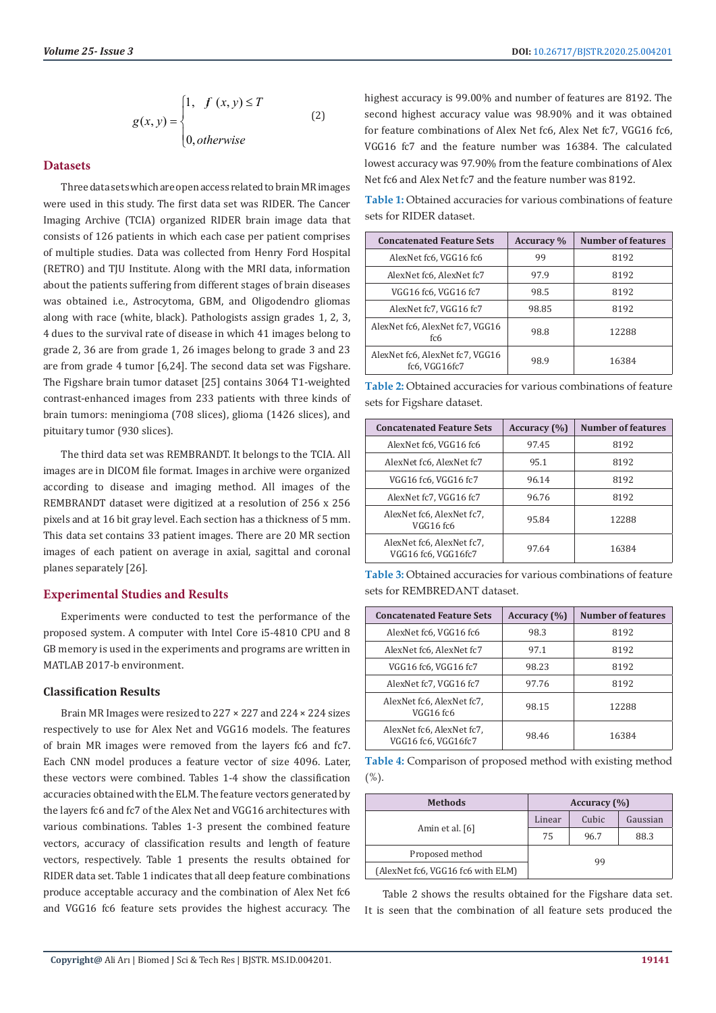$$
g(x, y) = \begin{cases} 1, & f(x, y) \le T \\ & (2) \\ 0, & otherwise \end{cases}
$$

# **Datasets**

Three data sets which are open access related to brain MR images were used in this study. The first data set was RIDER. The Cancer Imaging Archive (TCIA) organized RIDER brain image data that consists of 126 patients in which each case per patient comprises of multiple studies. Data was collected from Henry Ford Hospital (RETRO) and TJU Institute. Along with the MRI data, information about the patients suffering from different stages of brain diseases was obtained i.e., Astrocytoma, GBM, and Oligodendro gliomas along with race (white, black). Pathologists assign grades 1, 2, 3, 4 dues to the survival rate of disease in which 41 images belong to grade 2, 36 are from grade 1, 26 images belong to grade 3 and 23 are from grade 4 tumor [6,24]. The second data set was Figshare. The Figshare brain tumor dataset [25] contains 3064 T1-weighted contrast-enhanced images from 233 patients with three kinds of brain tumors: meningioma (708 slices), glioma (1426 slices), and pituitary tumor (930 slices).

The third data set was REMBRANDT. It belongs to the TCIA. All images are in DICOM file format. Images in archive were organized according to disease and imaging method. All images of the REMBRANDT dataset were digitized at a resolution of 256 x 256 pixels and at 16 bit gray level. Each section has a thickness of 5 mm. This data set contains 33 patient images. There are 20 MR section images of each patient on average in axial, sagittal and coronal planes separately [26].

#### **Experimental Studies and Results**

Experiments were conducted to test the performance of the proposed system. A computer with Intel Core i5-4810 CPU and 8 GB memory is used in the experiments and programs are written in MATLAB 2017-b environment.

#### **Classification Results**

Brain MR Images were resized to  $227 \times 227$  and  $224 \times 224$  sizes respectively to use for Alex Net and VGG16 models. The features of brain MR images were removed from the layers fc6 and fc7. Each CNN model produces a feature vector of size 4096. Later, these vectors were combined. Tables 1-4 show the classification accuracies obtained with the ELM. The feature vectors generated by the layers fc6 and fc7 of the Alex Net and VGG16 architectures with various combinations. Tables 1-3 present the combined feature vectors, accuracy of classification results and length of feature vectors, respectively. Table 1 presents the results obtained for RIDER data set. Table 1 indicates that all deep feature combinations produce acceptable accuracy and the combination of Alex Net fc6 and VGG16 fc6 feature sets provides the highest accuracy. The highest accuracy is 99.00% and number of features are 8192. The second highest accuracy value was 98.90% and it was obtained for feature combinations of Alex Net fc6, Alex Net fc7, VGG16 fc6, VGG16 fc7 and the feature number was 16384. The calculated lowest accuracy was 97.90% from the feature combinations of Alex Net fc6 and Alex Net fc7 and the feature number was 8192.

**Table 1:** Obtained accuracies for various combinations of feature sets for RIDER dataset.

| <b>Concatenated Feature Sets</b>                 | <b>Accuracy</b> % | <b>Number of features</b> |
|--------------------------------------------------|-------------------|---------------------------|
| AlexNet fc6, VGG16 fc6                           | 99                | 8192                      |
| AlexNet fc6, AlexNet fc7                         | 97.9              | 8192                      |
| VGG16 fc6, VGG16 fc7                             | 98.5              | 8192                      |
| AlexNet fc7, VGG16 fc7                           | 98.85             | 8192                      |
| AlexNet fc6. AlexNet fc7. VGG16<br>fc6           | 98.8              | 12288                     |
| AlexNet fc6, AlexNet fc7, VGG16<br>fc6, VGG16fc7 | 98.9              | 16384                     |

**Table 2:** Obtained accuracies for various combinations of feature sets for Figshare dataset.

| <b>Concatenated Feature Sets</b>                 | Accuracy (%) | <b>Number of features</b> |
|--------------------------------------------------|--------------|---------------------------|
| AlexNet fc6, VGG16 fc6                           | 97.45        | 8192                      |
| AlexNet fc6, AlexNet fc7                         | 95.1         | 8192                      |
| VGG16 fc6, VGG16 fc7                             | 96.14        | 8192                      |
| AlexNet fc7, VGG16 fc7                           | 96.76        | 8192                      |
| AlexNet fc6, AlexNet fc7,<br>VGG16 fc6           | 95.84        | 12288                     |
| AlexNet fc6, AlexNet fc7.<br>VGG16 fc6, VGG16fc7 | 97.64        | 16384                     |

| <b>Table 3:</b> Obtained accuracies for various combinations of feature |  |  |
|-------------------------------------------------------------------------|--|--|
| sets for REMBREDANT dataset.                                            |  |  |

| <b>Concatenated Feature Sets</b>                 | Accuracy $(\% )$ | <b>Number of features</b> |
|--------------------------------------------------|------------------|---------------------------|
| AlexNet fc6, VGG16 fc6                           | 98.3             | 8192                      |
| AlexNet fc6, AlexNet fc7                         | 97.1             | 8192                      |
| VGG16 fc6, VGG16 fc7                             | 98.23            | 8192                      |
| AlexNet fc7, VGG16 fc7                           | 97.76            | 8192                      |
| AlexNet fc6, AlexNet fc7,<br>VGG16 fc6           | 98.15            | 12288                     |
| AlexNet fc6, AlexNet fc7,<br>VGG16 fc6, VGG16fc7 | 98.46            | 16384                     |

**Table 4:** Comparison of proposed method with existing method  $(%)$ .

| <b>Methods</b>                    | Accuracy $(\% )$ |       |          |
|-----------------------------------|------------------|-------|----------|
|                                   | Linear           | Cubic | Gaussian |
| Amin et al. [6]                   | 75               | 96.7  | 88.3     |
| Proposed method                   | qq               |       |          |
| (AlexNet fc6, VGG16 fc6 with ELM) |                  |       |          |

Table 2 shows the results obtained for the Figshare data set. It is seen that the combination of all feature sets produced the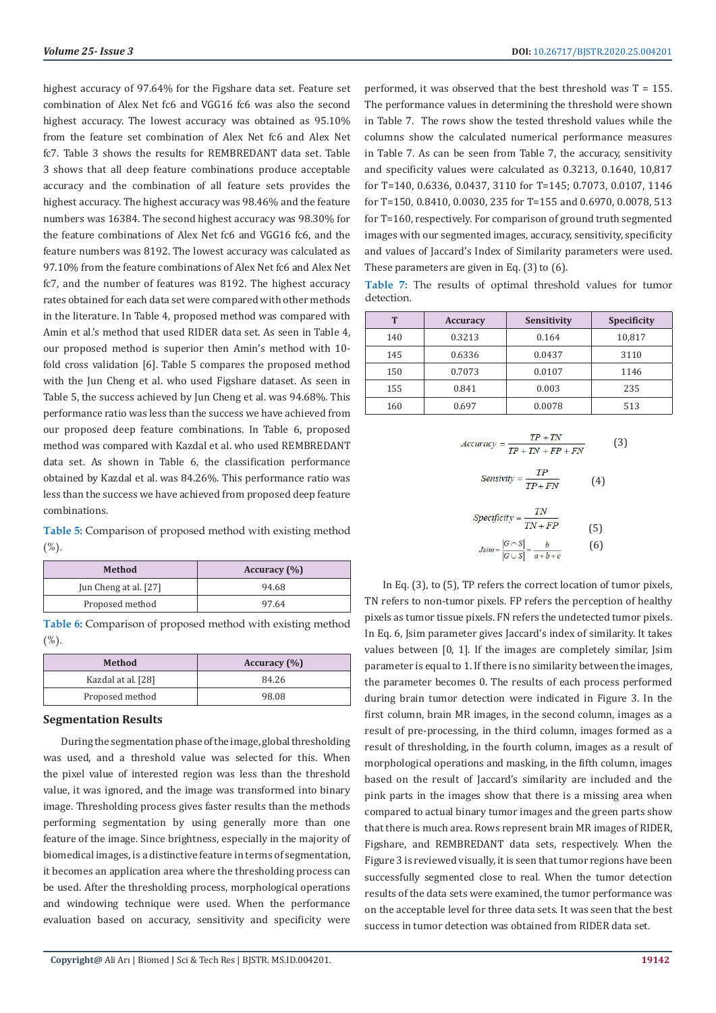highest accuracy of 97.64% for the Figshare data set. Feature set combination of Alex Net fc6 and VGG16 fc6 was also the second highest accuracy. The lowest accuracy was obtained as 95.10% from the feature set combination of Alex Net fc6 and Alex Net fc7. Table 3 shows the results for REMBREDANT data set. Table 3 shows that all deep feature combinations produce acceptable accuracy and the combination of all feature sets provides the highest accuracy. The highest accuracy was 98.46% and the feature numbers was 16384. The second highest accuracy was 98.30% for the feature combinations of Alex Net fc6 and VGG16 fc6, and the feature numbers was 8192. The lowest accuracy was calculated as 97.10% from the feature combinations of Alex Net fc6 and Alex Net fc7, and the number of features was 8192. The highest accuracy rates obtained for each data set were compared with other methods in the literature. In Table 4, proposed method was compared with Amin et al.'s method that used RIDER data set. As seen in Table 4, our proposed method is superior then Amin's method with 10 fold cross validation [6]. Table 5 compares the proposed method with the Jun Cheng et al. who used Figshare dataset. As seen in Table 5, the success achieved by Jun Cheng et al. was 94.68%. This performance ratio was less than the success we have achieved from our proposed deep feature combinations. In Table 6, proposed method was compared with Kazdal et al. who used REMBREDANT data set. As shown in Table 6, the classification performance obtained by Kazdal et al. was 84.26%. This performance ratio was less than the success we have achieved from proposed deep feature combinations.

**Table 5:** Comparison of proposed method with existing method  $(%)$ .

| Method                | Accuracy $(\% )$ |
|-----------------------|------------------|
| Jun Cheng at al. [27] | 94.68            |
| Proposed method       | 97.64            |

**Table 6:** Comparison of proposed method with existing method  $(%)$ .

| Method             | Accuracy $(\% )$ |
|--------------------|------------------|
| Kazdal at al. [28] | 84.26            |
| Proposed method    | 98.08            |

### **Segmentation Results**

During the segmentation phase of the image, global thresholding was used, and a threshold value was selected for this. When the pixel value of interested region was less than the threshold value, it was ignored, and the image was transformed into binary image. Thresholding process gives faster results than the methods performing segmentation by using generally more than one feature of the image. Since brightness, especially in the majority of biomedical images, is a distinctive feature in terms of segmentation, it becomes an application area where the thresholding process can be used. After the thresholding process, morphological operations and windowing technique were used. When the performance evaluation based on accuracy, sensitivity and specificity were

performed, it was observed that the best threshold was  $T = 155$ . The performance values in determining the threshold were shown in Table 7. The rows show the tested threshold values while the columns show the calculated numerical performance measures in Table 7. As can be seen from Table 7, the accuracy, sensitivity and specificity values were calculated as 0.3213, 0.1640, 10,817 for T=140, 0.6336, 0.0437, 3110 for T=145; 0.7073, 0.0107, 1146 for T=150, 0.8410, 0.0030, 235 for T=155 and 0.6970, 0.0078, 513 for T=160, respectively. For comparison of ground truth segmented images with our segmented images, accuracy, sensitivity, specificity and values of Jaccard's Index of Similarity parameters were used. These parameters are given in Eq. (3) to (6).

**Table 7:** The results of optimal threshold values for tumor detection.

| T   | <b>Accuracy</b> | <b>Sensitivity</b> | <b>Specificity</b> |
|-----|-----------------|--------------------|--------------------|
| 140 | 0.3213          | 0.164              | 10,817             |
| 145 | 0.6336          | 0.0437             | 3110               |
| 150 | 0.7073          | 0.0107             | 1146               |
| 155 | 0.841           | 0.003              | 235                |
| 160 | 0.697           | 0.0078             | 513                |

$$
Accuracy = \frac{TP + TN}{TP + TN + FP + FN}
$$
 (3)

$$
Sensitivity = \frac{1}{TP + FN} \tag{4}
$$

$$
Specificity = \frac{TN}{TN + FP}
$$
  
(5)  

$$
Jsim = \frac{|G \cap S|}{|G \cup S|} = \frac{b}{a+b+c}
$$
 (6)

In Eq. (3), to (5), TP refers the correct location of tumor pixels, TN refers to non-tumor pixels. FP refers the perception of healthy pixels as tumor tissue pixels. FN refers the undetected tumor pixels. In Eq. 6, Jsim parameter gives Jaccard's index of similarity. It takes values between [0, 1]. If the images are completely similar, Jsim parameter is equal to 1. If there is no similarity between the images, the parameter becomes 0. The results of each process performed during brain tumor detection were indicated in Figure 3. In the first column, brain MR images, in the second column, images as a result of pre-processing, in the third column, images formed as a result of thresholding, in the fourth column, images as a result of morphological operations and masking, in the fifth column, images based on the result of Jaccard's similarity are included and the pink parts in the images show that there is a missing area when compared to actual binary tumor images and the green parts show that there is much area. Rows represent brain MR images of RIDER, Figshare, and REMBREDANT data sets, respectively. When the Figure 3 is reviewed visually, it is seen that tumor regions have been successfully segmented close to real. When the tumor detection results of the data sets were examined, the tumor performance was on the acceptable level for three data sets. It was seen that the best success in tumor detection was obtained from RIDER data set.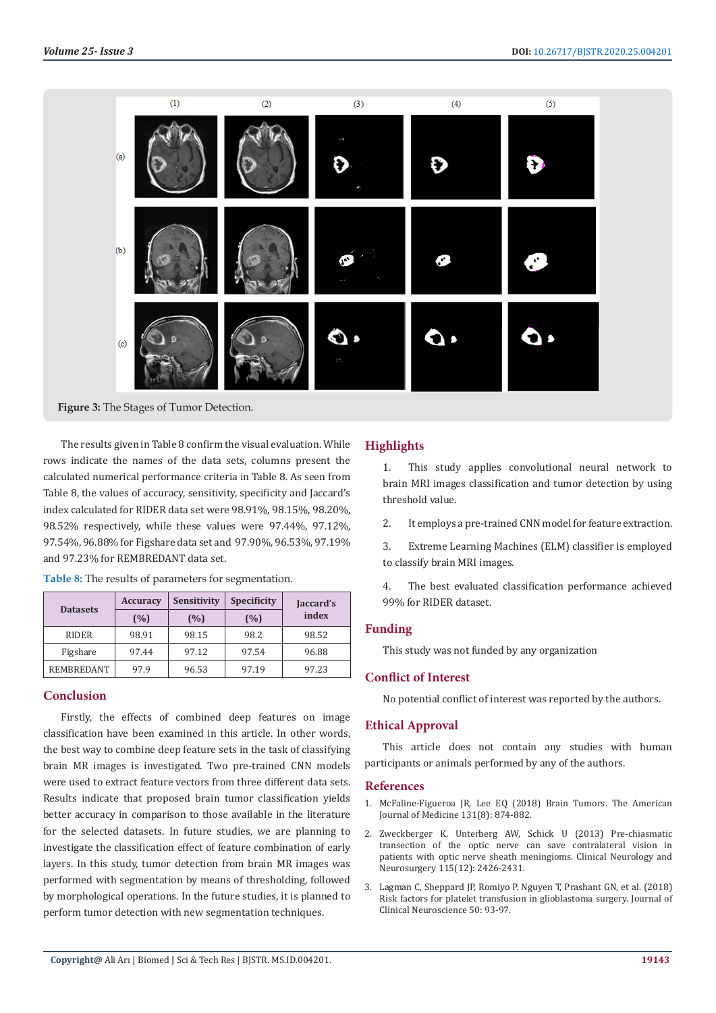

**Figure 3:** The Stages of Tumor Detection.

The results given in Table 8 confirm the visual evaluation. While rows indicate the names of the data sets, columns present the calculated numerical performance criteria in Table 8. As seen from Table 8, the values of accuracy, sensitivity, specificity and Jaccard's index calculated for RIDER data set were 98.91%, 98.15%, 98.20%, 98.52% respectively, while these values were 97.44%, 97.12%, 97.54%, 96.88% for Figshare data set and 97.90%, 96.53%, 97.19% and 97.23% for REMBREDANT data set.

|  | <b>Table 8:</b> The results of parameters for segmentation. |
|--|-------------------------------------------------------------|
|  |                                                             |

|                 | <b>Accuracy</b> | Sensitivity | <b>Specificity</b> | Jaccard's |
|-----------------|-----------------|-------------|--------------------|-----------|
| <b>Datasets</b> | (%)             | (%)         | (%)                | index     |
| <b>RIDER</b>    | 98.91           | 98.15       | 98.2               | 98.52     |
| Figshare        | 97.44           | 97.12       | 97.54              | 96.88     |
| REMBREDANT      | 97.9            | 96.53       | 97.19              | 97.23     |

# **Conclusion**

Firstly, the effects of combined deep features on image classification have been examined in this article. In other words, the best way to combine deep feature sets in the task of classifying brain MR images is investigated. Two pre-trained CNN models were used to extract feature vectors from three different data sets. Results indicate that proposed brain tumor classification yields better accuracy in comparison to those available in the literature for the selected datasets. In future studies, we are planning to investigate the classification effect of feature combination of early layers. In this study, tumor detection from brain MR images was performed with segmentation by means of thresholding, followed by morphological operations. In the future studies, it is planned to perform tumor detection with new segmentation techniques.

# **Highlights**

1. This study applies convolutional neural network to brain MRI images classification and tumor detection by using threshold value.

2. It employs a pre-trained CNN model for feature extraction.

3. Extreme Learning Machines (ELM) classifier is employed to classify brain MRI images.

4. The best evaluated classification performance achieved 99% for RIDER dataset.

# **Funding**

This study was not funded by any organization

# **Conflict of Interest**

No potential conflict of interest was reported by the authors.

#### **Ethical Approval**

This article does not contain any studies with human participants or animals performed by any of the authors.

#### **References**

- 1. [McFaline-Figueroa JR, Lee EQ \(2018\) Brain Tumors. The American](https://www.ncbi.nlm.nih.gov/pubmed/29371158) [Journal of Medicine 131\(8\): 874-882.](https://www.ncbi.nlm.nih.gov/pubmed/29371158)
- 2. [Zweckberger K, Unterberg AW, Schick U \(2013\) Pre-chiasmatic](https://www.sciencedirect.com/science/article/abs/pii/S0303846713003302) [transection of the optic nerve can save contralateral vision in](https://www.sciencedirect.com/science/article/abs/pii/S0303846713003302) [patients with optic nerve sheath meningioms. Clinical Neurology and](https://www.sciencedirect.com/science/article/abs/pii/S0303846713003302) [Neurosurgery 115\(12\): 2426-2431.](https://www.sciencedirect.com/science/article/abs/pii/S0303846713003302)
- 3. [Lagman C, Sheppard JP, Romiyo P, Nguyen T, Prashant GN, et al. \(2018\)](https://www.ncbi.nlm.nih.gov/pubmed/29452964) [Risk factors for platelet transfusion in glioblastoma surgery. Journal of](https://www.ncbi.nlm.nih.gov/pubmed/29452964) [Clinical Neuroscience 50: 93-97.](https://www.ncbi.nlm.nih.gov/pubmed/29452964)